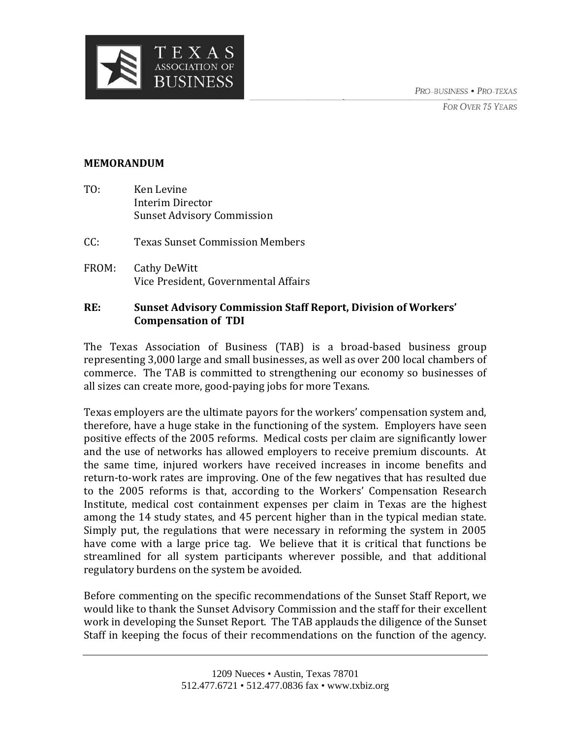PRO-BUSINESS · PRO-TEXAS

**FOR OVER 75 YEARS** 



#### **MEMORANDUM**

- TO: Ken Levine Interim Director Sunset Advisory Commission
- CC: Texas Sunset Commission Members
- FROM: Cathy DeWitt Vice President, Governmental Affairs

### **RE: Sunset Advisory Commission Staff Report, Division of Workers' Compensation of TDI**

The Texas Association of Business (TAB) is a broad‐based business group representing 3,000 large and small businesses, as well as over 200 local chambers of commerce. The TAB is committed to strengthening our economy so businesses of all sizes can create more, good‐paying jobs for more Texans.

Texas employers are the ultimate payors for the workers' compensation system and, therefore, have a huge stake in the functioning of the system. Employers have seen positive effects of the 2005 reforms. Medical costs per claim are significantly lower and the use of networks has allowed employers to receive premium discounts. At the same time, injured workers have received increases in income benefits and return-to-work rates are improving. One of the few negatives that has resulted due to the 2005 reforms is that, according to the Workers' Compensation Research Institute, medical cost containment expenses per claim in Texas are the highest among the 14 study states, and 45 percent higher than in the typical median state. Simply put, the regulations that were necessary in reforming the system in 2005 have come with a large price tag. We believe that it is critical that functions be streamlined for all system participants wherever possible, and that additional regulatory burdens on the system be avoided.

Before commenting on the specific recommendations of the Sunset Staff Report, we would like to thank the Sunset Advisory Commission and the staff for their excellent work in developing the Sunset Report. The TAB applauds the diligence of the Sunset Staff in keeping the focus of their recommendations on the function of the agency.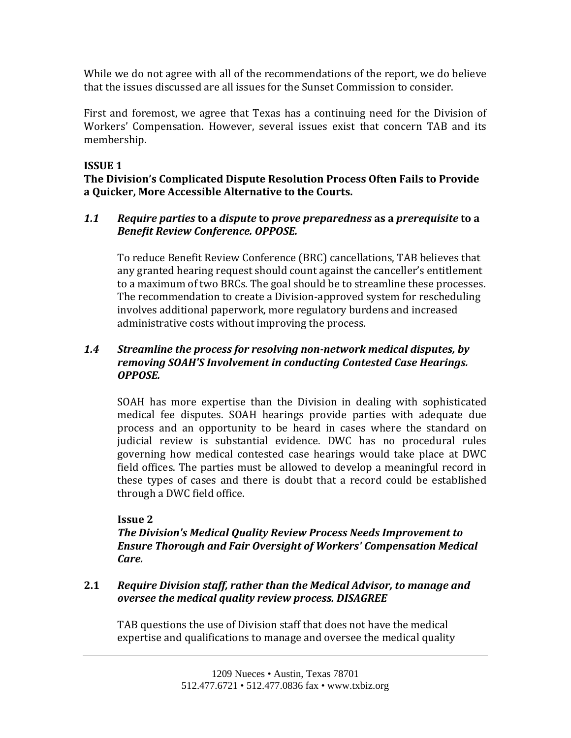While we do not agree with all of the recommendations of the report, we do believe that the issues discussed are all issues for the Sunset Commission to consider.

First and foremost, we agree that Texas has a continuing need for the Division of Workers' Compensation. However, several issues exist that concern TAB and its membership.

# **ISSUE 1**

# **The Division's Complicated Dispute Resolution Process Often Fails to Provide a Quicker, More Accessible Alternative to the Courts.**

### *1.1 Require parties* **to a** *dispute* **to** *prove preparedness* **as a** *prerequisite* **to a** *Benefit Review Conference. OPPOSE.*

To reduce Benefit Review Conference (BRC) cancellations, TAB believes that any granted hearing request should count against the canceller's entitlement to a maximum of two BRCs. The goal should be to streamline these processes. The recommendation to create a Division‐approved system for rescheduling involves additional paperwork, more regulatory burdens and increased administrative costs without improving the process.

# *1.4 Streamline the process for resolving nonnetwork medical disputes, by removing SOAH'S Involvement in conducting Contested Case Hearings. OPPOSE.*

SOAH has more expertise than the Division in dealing with sophisticated medical fee disputes. SOAH hearings provide parties with adequate due process and an opportunity to be heard in cases where the standard on judicial review is substantial evidence. DWC has no procedural rules governing how medical contested case hearings would take place at DWC field offices. The parties must be allowed to develop a meaningful record in these types of cases and there is doubt that a record could be established through a DWC field office.

# **Issue 2**

*The Division's Medical Quality Review Process Needs Improvement to Ensure Thorough and Fair Oversight of Workers' Compensation Medical Care.*

### **2.1** *Require Division staff, rather than the Medical Advisor, to manage and oversee the medical quality review process. DISAGREE*

TAB questions the use of Division staff that does not have the medical expertise and qualifications to manage and oversee the medical quality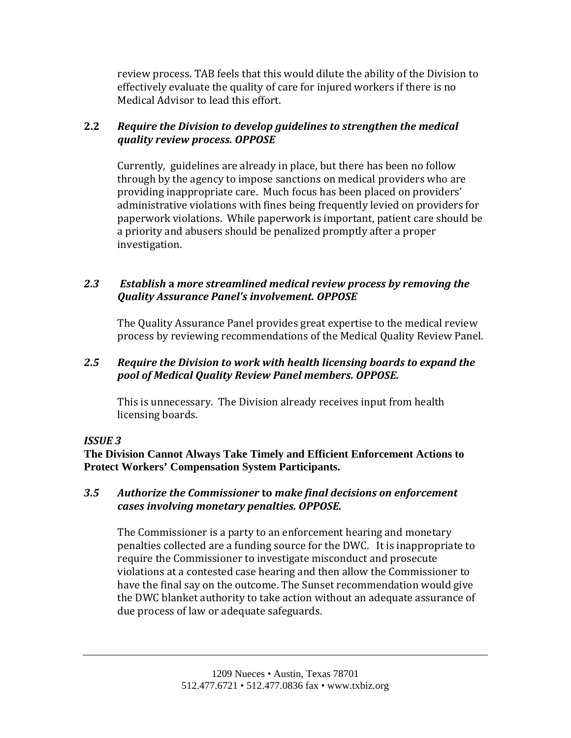review process. TAB feels that this would dilute the ability of the Division to effectively evaluate the quality of care for injured workers if there is no Medical Advisor to lead this effort.

# **2.2** *Require the Division to develop guidelines to strengthen the medical quality review process. OPPOSE*

Currently, guidelines are already in place, but there has been no follow through by the agency to impose sanctions on medical providers who are providing inappropriate care. Much focus has been placed on providers' administrative violations with fines being frequently levied on providers for paperwork violations. While paperwork is important, patient care should be a priority and abusers should be penalized promptly after a proper investigation.

# *2.3 Establish* **a** *more streamlined medical review process by removing the Quality Assurance Panel's involvement. OPPOSE*

The Quality Assurance Panel provides great expertise to the medical review process by reviewing recommendations of the Medical Quality Review Panel.

### *2.5 Require the Division to work with health licensing boards to expand the pool of Medical Quality Review Panel members. OPPOSE.*

This is unnecessary. The Division already receives input from health licensing boards.

# *ISSUE 3*

**The Division Cannot Always Take Timely and Efficient Enforcement Actions to Protect Workers' Compensation System Participants.** 

### *3.5 Authorize the Commissioner* **to** *make final decisions on enforcement cases involving monetary penalties. OPPOSE.*

The Commissioner is a party to an enforcement hearing and monetary penalties collected are a funding source for the DWC. It is inappropriate to require the Commissioner to investigate misconduct and prosecute violations at a contested case hearing and then allow the Commissioner to have the final say on the outcome. The Sunset recommendation would give the DWC blanket authority to take action without an adequate assurance of due process of law or adequate safeguards.